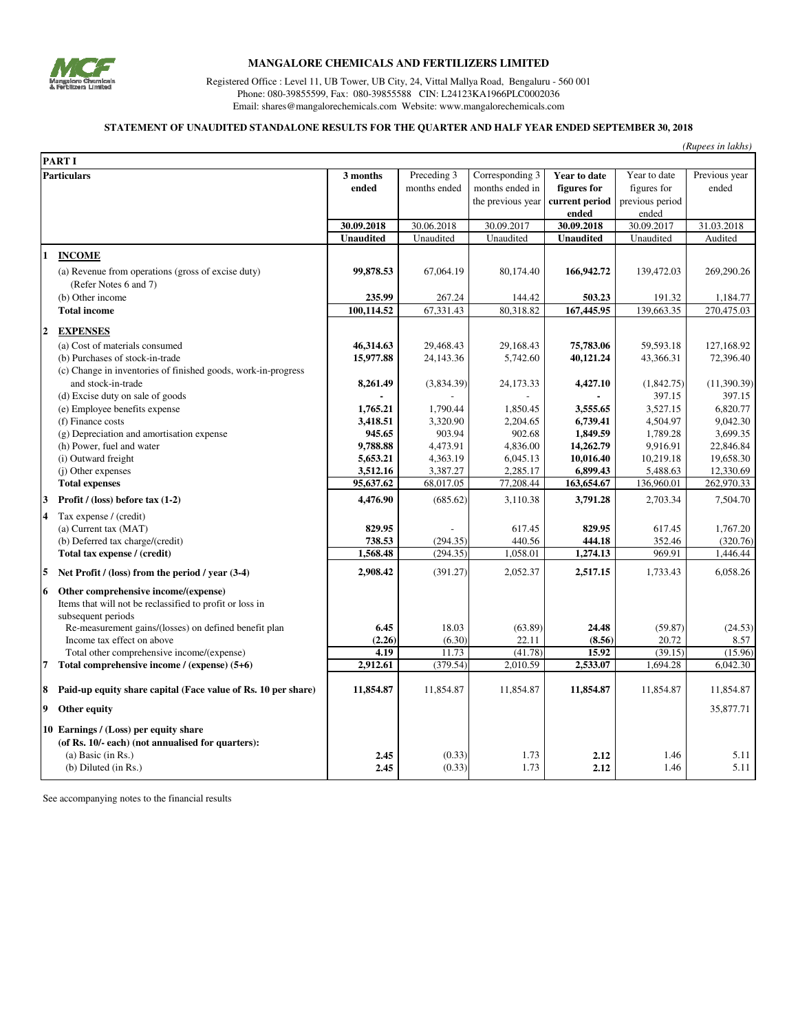

### **MANGALORE CHEMICALS AND FERTILIZERS LIMITED**

Registered Office : Level 11, UB Tower, UB City, 24, Vittal Mallya Road, Bengaluru - 560 001 Phone: 080-39855599, Fax: 080-39855588 CIN: L24123KA1966PLC0002036 Email: shares@mangalorechemicals.com Website: www.mangalorechemicals.com

### **STATEMENT OF UNAUDITED STANDALONE RESULTS FOR THE QUARTER AND HALF YEAR ENDED SEPTEMBER 30, 2018**

|                    |                                                                             |                      |                      |                      |                        |                       | (Rupees in lakhs)      |
|--------------------|-----------------------------------------------------------------------------|----------------------|----------------------|----------------------|------------------------|-----------------------|------------------------|
|                    | <b>PART I</b>                                                               |                      |                      |                      |                        |                       |                        |
| <b>Particulars</b> |                                                                             | 3 months             | Preceding 3          | Corresponding 3      | Year to date           | Year to date          | Previous year          |
|                    |                                                                             | ended                | months ended         | months ended in      | figures for            | figures for           | ended                  |
|                    |                                                                             |                      |                      | the previous year    | current period         | previous period       |                        |
|                    |                                                                             |                      |                      |                      | ended                  | ended                 |                        |
|                    |                                                                             | 30.09.2018           | 30.06.2018           | 30.09.2017           | 30.09.2018             | 30.09.2017            | 31.03.2018             |
|                    |                                                                             | <b>Unaudited</b>     | Unaudited            | Unaudited            | <b>Unaudited</b>       | Unaudited             | Audited                |
| 1                  | <b>INCOME</b>                                                               |                      |                      |                      |                        |                       |                        |
|                    | (a) Revenue from operations (gross of excise duty)                          | 99,878.53            | 67,064.19            | 80,174.40            | 166,942.72             | 139,472.03            | 269,290.26             |
|                    | (Refer Notes 6 and 7)                                                       |                      |                      |                      |                        |                       |                        |
|                    | (b) Other income                                                            | 235.99               | 267.24               | 144.42               | 503.23                 | 191.32                | 1,184.77               |
|                    | <b>Total income</b>                                                         | 100,114.52           | 67,331.43            | 80,318.82            | 167,445.95             | 139,663.35            | 270,475.03             |
|                    |                                                                             |                      |                      |                      |                        |                       |                        |
| $\overline{2}$     | <b>EXPENSES</b>                                                             |                      |                      |                      |                        |                       |                        |
|                    | (a) Cost of materials consumed                                              | 46,314.63            | 29,468.43            | 29,168.43            | 75,783.06              | 59,593.18             | 127,168.92             |
|                    | (b) Purchases of stock-in-trade                                             | 15,977.88            | 24,143.36            | 5,742.60             | 40,121.24              | 43,366.31             | 72,396.40              |
|                    | (c) Change in inventories of finished goods, work-in-progress               |                      |                      |                      |                        |                       |                        |
|                    | and stock-in-trade                                                          | 8,261.49             | (3,834.39)           | 24,173.33            | 4,427.10               | (1,842.75)            | (11,390.39)            |
|                    | (d) Excise duty on sale of goods                                            |                      |                      |                      |                        | 397.15                | 397.15                 |
|                    | (e) Employee benefits expense                                               | 1,765.21             | 1,790.44             | 1,850.45             | 3,555.65               | 3,527.15              | 6,820.77               |
|                    | (f) Finance costs                                                           | 3,418.51             | 3,320.90             | 2,204.65             | 6,739.41               | 4,504.97              | 9,042.30               |
|                    | (g) Depreciation and amortisation expense                                   | 945.65               | 903.94               | 902.68               | 1,849.59               | 1,789.28              | 3,699.35               |
|                    | (h) Power, fuel and water                                                   | 9,788.88<br>5,653.21 | 4,473.91<br>4,363.19 | 4,836.00<br>6,045.13 | 14,262.79<br>10,016.40 | 9,916.91<br>10,219.18 | 22,846.84<br>19,658.30 |
|                    | (i) Outward freight                                                         | 3,512.16             | 3,387.27             | 2,285.17             | 6,899.43               | 5,488.63              | 12,330.69              |
|                    | (j) Other expenses<br><b>Total expenses</b>                                 | 95,637.62            | 68,017.05            | 77,208.44            | 163,654.67             | 136,960.01            | 262,970.33             |
| 3                  | Profit / (loss) before tax $(1-2)$                                          | 4,476.90             | (685.62)             | 3,110.38             | 3,791.28               | 2,703.34              | 7,504.70               |
| 4                  | Tax expense / (credit)                                                      |                      |                      |                      |                        |                       |                        |
|                    | (a) Current tax (MAT)                                                       | 829.95               |                      | 617.45               | 829.95                 | 617.45                | 1,767.20               |
|                    | (b) Deferred tax charge/(credit)                                            | 738.53               | (294.35)             | 440.56               | 444.18                 | 352.46                | (320.76)               |
|                    | Total tax expense / (credit)                                                | 1,568.48             | (294.35)             | 1,058.01             | 1,274.13               | 969.91                | 1,446.44               |
|                    |                                                                             | 2,908.42             | (391.27)             | 2,052.37             | 2,517.15               | 1,733.43              | 6,058.26               |
| 5                  | Net Profit / (loss) from the period / year (3-4)                            |                      |                      |                      |                        |                       |                        |
| 6                  | Other comprehensive income/(expense)                                        |                      |                      |                      |                        |                       |                        |
|                    | Items that will not be reclassified to profit or loss in                    |                      |                      |                      |                        |                       |                        |
|                    | subsequent periods<br>Re-measurement gains/(losses) on defined benefit plan | 6.45                 | 18.03                | (63.89)              | 24.48                  | (59.87)               | (24.53)                |
|                    | Income tax effect on above                                                  | (2.26)               | (6.30)               | 22.11                | (8.56)                 | 20.72                 | 8.57                   |
|                    | Total other comprehensive income/(expense)                                  | 4.19                 | 11.73                | (41.78)              | 15.92                  | (39.15)               | (15.96)                |
| 7                  | Total comprehensive income / (expense) (5+6)                                | 2,912.61             | (379.54)             | 2,010.59             | 2,533.07               | 1,694.28              | 6,042.30               |
|                    |                                                                             |                      |                      |                      |                        |                       |                        |
| 8                  | Paid-up equity share capital (Face value of Rs. 10 per share)               | 11,854.87            | 11,854.87            | 11,854.87            | 11,854.87              | 11,854.87             | 11,854.87              |
| 9                  | Other equity                                                                |                      |                      |                      |                        |                       | 35,877.71              |
|                    | 10 Earnings / (Loss) per equity share                                       |                      |                      |                      |                        |                       |                        |
|                    | (of Rs. 10/- each) (not annualised for quarters):                           |                      |                      |                      |                        |                       |                        |
|                    | $(a)$ Basic $(in Rs.)$                                                      | 2.45                 | (0.33)               | 1.73                 | 2.12                   | 1.46                  | 5.11                   |
|                    | (b) Diluted (in Rs.)                                                        | 2.45                 | (0.33)               | 1.73                 | 2.12                   | 1.46                  | 5.11                   |

See accompanying notes to the financial results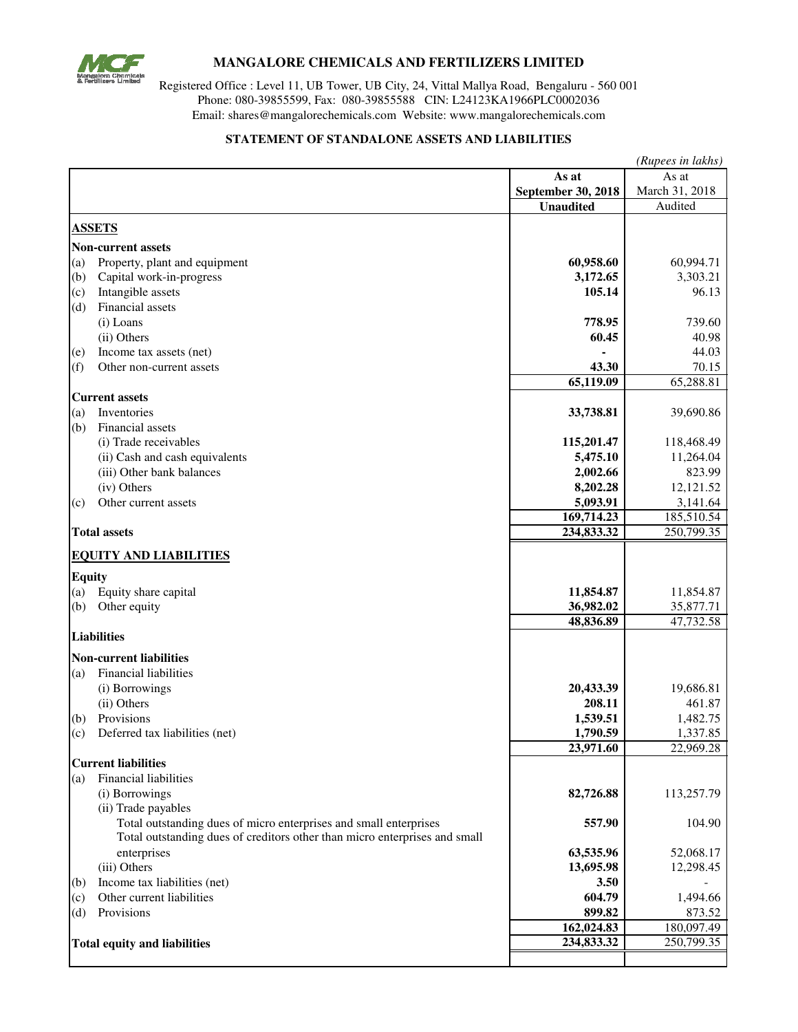

# **MANGALORE CHEMICALS AND FERTILIZERS LIMITED**

Registered Office : Level 11, UB Tower, UB City, 24, Vittal Mallya Road, Bengaluru - 560 001 Phone: 080-39855599, Fax: 080-39855588 CIN: L24123KA1966PLC0002036 Email: shares@mangalorechemicals.com Website: www.mangalorechemicals.com

### **STATEMENT OF STANDALONE ASSETS AND LIABILITIES**

|               |                                                                            | (Rupees in lakhs)   |                    |  |  |
|---------------|----------------------------------------------------------------------------|---------------------|--------------------|--|--|
|               |                                                                            | As at               | As at              |  |  |
|               |                                                                            | September 30, 2018  | March 31, 2018     |  |  |
|               |                                                                            | <b>Unaudited</b>    | Audited            |  |  |
|               | <b>ASSETS</b>                                                              |                     |                    |  |  |
|               | <b>Non-current assets</b>                                                  |                     |                    |  |  |
| (a)           | Property, plant and equipment                                              | 60,958.60           | 60,994.71          |  |  |
| (b)           | Capital work-in-progress                                                   | 3,172.65            | 3,303.21           |  |  |
| (c)           | Intangible assets                                                          | 105.14              | 96.13              |  |  |
| (d)           | Financial assets                                                           |                     |                    |  |  |
|               | (i) Loans                                                                  | 778.95              | 739.60             |  |  |
|               | (ii) Others                                                                | 60.45               | 40.98              |  |  |
| (e)           | Income tax assets (net)                                                    |                     | 44.03              |  |  |
| (f)           | Other non-current assets                                                   | 43.30               | 70.15              |  |  |
|               |                                                                            | 65,119.09           | 65,288.81          |  |  |
|               | <b>Current assets</b>                                                      |                     |                    |  |  |
| (a)           | Inventories                                                                | 33,738.81           | 39,690.86          |  |  |
| (b)           | Financial assets                                                           |                     |                    |  |  |
|               | (i) Trade receivables                                                      | 115,201.47          | 118,468.49         |  |  |
|               | (ii) Cash and cash equivalents                                             | 5,475.10            | 11,264.04          |  |  |
|               | (iii) Other bank balances                                                  | 2,002.66            | 823.99             |  |  |
|               | (iv) Others                                                                | 8,202.28            | 12,121.52          |  |  |
| (c)           | Other current assets                                                       | 5,093.91            | 3,141.64           |  |  |
|               |                                                                            | 169,714.23          | 185,510.54         |  |  |
|               | <b>Total assets</b>                                                        | 234,833.32          | 250,799.35         |  |  |
|               | <b>EQUITY AND LIABILITIES</b>                                              |                     |                    |  |  |
|               |                                                                            |                     |                    |  |  |
| <b>Equity</b> |                                                                            |                     |                    |  |  |
| (a)           | Equity share capital                                                       | 11,854.87           | 11,854.87          |  |  |
| (b)           | Other equity                                                               | 36,982.02           | 35,877.71          |  |  |
|               | <b>Liabilities</b>                                                         | 48,836.89           | 47,732.58          |  |  |
|               |                                                                            |                     |                    |  |  |
|               | <b>Non-current liabilities</b>                                             |                     |                    |  |  |
| (a)           | <b>Financial liabilities</b>                                               |                     |                    |  |  |
|               | (i) Borrowings<br>(ii) Others                                              | 20,433.39<br>208.11 | 19,686.81          |  |  |
| (b)           | Provisions                                                                 | 1,539.51            | 461.87<br>1,482.75 |  |  |
| (c)           | Deferred tax liabilities (net)                                             | 1,790.59            | 1,337.85           |  |  |
|               |                                                                            | 23,971.60           | 22,969.28          |  |  |
|               | <b>Current liabilities</b>                                                 |                     |                    |  |  |
| (a)           | Financial liabilities                                                      |                     |                    |  |  |
|               | (i) Borrowings                                                             | 82,726.88           | 113,257.79         |  |  |
|               | (ii) Trade payables                                                        |                     |                    |  |  |
|               | Total outstanding dues of micro enterprises and small enterprises          | 557.90              | 104.90             |  |  |
|               | Total outstanding dues of creditors other than micro enterprises and small |                     |                    |  |  |
|               | enterprises                                                                | 63,535.96           | 52,068.17          |  |  |
|               | (iii) Others                                                               | 13,695.98           | 12,298.45          |  |  |
| (b)           | Income tax liabilities (net)                                               | 3.50                |                    |  |  |
| (c)           | Other current liabilities                                                  | 604.79              | 1,494.66           |  |  |
| (d)           | Provisions                                                                 | 899.82              | 873.52             |  |  |
|               |                                                                            | 162,024.83          | 180,097.49         |  |  |
|               | <b>Total equity and liabilities</b>                                        | 234,833.32          | 250,799.35         |  |  |
|               |                                                                            |                     |                    |  |  |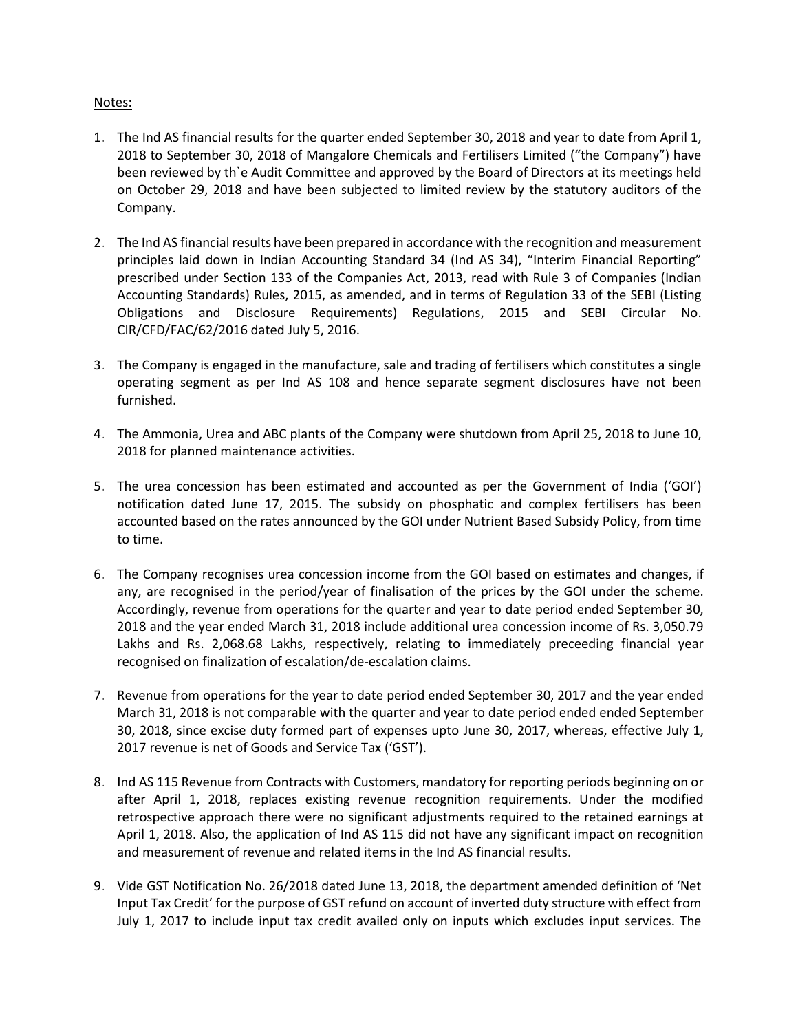## Notes:

- 1. The Ind AS financial results for the quarter ended September 30, 2018 and year to date from April 1, 2018 to September 30, 2018 of Mangalore Chemicals and Fertilisers Limited ("the Company") have been reviewed by th`e Audit Committee and approved by the Board of Directors at its meetings held on October 29, 2018 and have been subjected to limited review by the statutory auditors of the Company.
- 2. The Ind AS financial results have been prepared in accordance with the recognition and measurement principles laid down in Indian Accounting Standard 34 (Ind AS 34), "Interim Financial Reporting" prescribed under Section 133 of the Companies Act, 2013, read with Rule 3 of Companies (Indian Accounting Standards) Rules, 2015, as amended, and in terms of Regulation 33 of the SEBI (Listing Obligations and Disclosure Requirements) Regulations, 2015 and SEBI Circular No. CIR/CFD/FAC/62/2016 dated July 5, 2016.
- 3. The Company is engaged in the manufacture, sale and trading of fertilisers which constitutes a single operating segment as per Ind AS 108 and hence separate segment disclosures have not been furnished.
- 4. The Ammonia, Urea and ABC plants of the Company were shutdown from April 25, 2018 to June 10, 2018 for planned maintenance activities.
- 5. The urea concession has been estimated and accounted as per the Government of India ('GOI') notification dated June 17, 2015. The subsidy on phosphatic and complex fertilisers has been accounted based on the rates announced by the GOI under Nutrient Based Subsidy Policy, from time to time.
- 6. The Company recognises urea concession income from the GOI based on estimates and changes, if any, are recognised in the period/year of finalisation of the prices by the GOI under the scheme. Accordingly, revenue from operations for the quarter and year to date period ended September 30, 2018 and the year ended March 31, 2018 include additional urea concession income of Rs. 3,050.79 Lakhs and Rs. 2,068.68 Lakhs, respectively, relating to immediately preceeding financial year recognised on finalization of escalation/de-escalation claims.
- 7. Revenue from operations for the year to date period ended September 30, 2017 and the year ended March 31, 2018 is not comparable with the quarter and year to date period ended ended September 30, 2018, since excise duty formed part of expenses upto June 30, 2017, whereas, effective July 1, 2017 revenue is net of Goods and Service Tax ('GST').
- 8. Ind AS 115 Revenue from Contracts with Customers, mandatory for reporting periods beginning on or after April 1, 2018, replaces existing revenue recognition requirements. Under the modified retrospective approach there were no significant adjustments required to the retained earnings at April 1, 2018. Also, the application of Ind AS 115 did not have any significant impact on recognition and measurement of revenue and related items in the Ind AS financial results.
- 9. Vide GST Notification No. 26/2018 dated June 13, 2018, the department amended definition of 'Net Input Tax Credit' for the purpose of GST refund on account of inverted duty structure with effect from July 1, 2017 to include input tax credit availed only on inputs which excludes input services. The